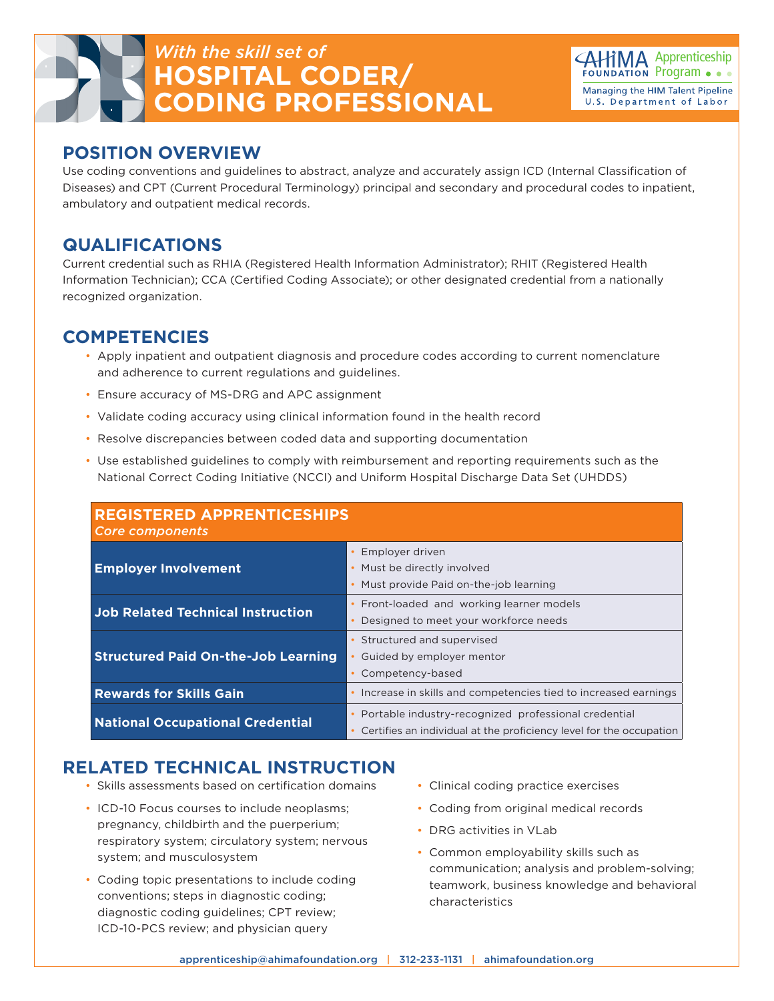# *With the skill set of* **HOSPITAL CODER/ CODING PROFESSIONAL**



#### **POSITION OVERVIEW**

Use coding conventions and guidelines to abstract, analyze and accurately assign ICD (Internal Classification of Diseases) and CPT (Current Procedural Terminology) principal and secondary and procedural codes to inpatient, ambulatory and outpatient medical records.

#### **QUALIFICATIONS**

Current credential such as RHIA (Registered Health Information Administrator); RHIT (Registered Health Information Technician); CCA (Certified Coding Associate); or other designated credential from a nationally recognized organization.

### **COMPETENCIES**

- Apply inpatient and outpatient diagnosis and procedure codes according to current nomenclature and adherence to current regulations and guidelines.
- Ensure accuracy of MS-DRG and APC assignment
- Validate coding accuracy using clinical information found in the health record
- Resolve discrepancies between coded data and supporting documentation
- Use established guidelines to comply with reimbursement and reporting requirements such as the National Correct Coding Initiative (NCCI) and Uniform Hospital Discharge Data Set (UHDDS)

| <b>REGISTERED APPRENTICESHIPS</b><br><b>Core components</b> |                                                                                                                                                       |
|-------------------------------------------------------------|-------------------------------------------------------------------------------------------------------------------------------------------------------|
| <b>Employer Involvement</b>                                 | Employer driven<br>Must be directly involved<br>٠<br>Must provide Paid on-the-job learning<br>$\bullet$                                               |
| <b>Job Related Technical Instruction</b>                    | Front-loaded and working learner models<br>$\bullet$<br>Designed to meet your workforce needs                                                         |
| <b>Structured Paid On-the-Job Learning</b>                  | Structured and supervised<br>$\bullet$<br>Guided by employer mentor<br>Competency-based<br>$\bullet$                                                  |
| <b>Rewards for Skills Gain</b>                              | Increase in skills and competencies tied to increased earnings<br>$\bullet$                                                                           |
| <b>National Occupational Credential</b>                     | Portable industry-recognized professional credential<br>$\bullet$<br>Certifies an individual at the proficiency level for the occupation<br>$\bullet$ |

## **RELATED TECHNICAL INSTRUCTION**

- Skills assessments based on certification domains
- ICD-10 Focus courses to include neoplasms; pregnancy, childbirth and the puerperium; respiratory system; circulatory system; nervous system; and musculosystem
- Coding topic presentations to include coding conventions; steps in diagnostic coding; diagnostic coding guidelines; CPT review; ICD-10-PCS review; and physician query
- Clinical coding practice exercises
- Coding from original medical records
- DRG activities in VLab
- Common employability skills such as communication; analysis and problem-solving; teamwork, business knowledge and behavioral characteristics